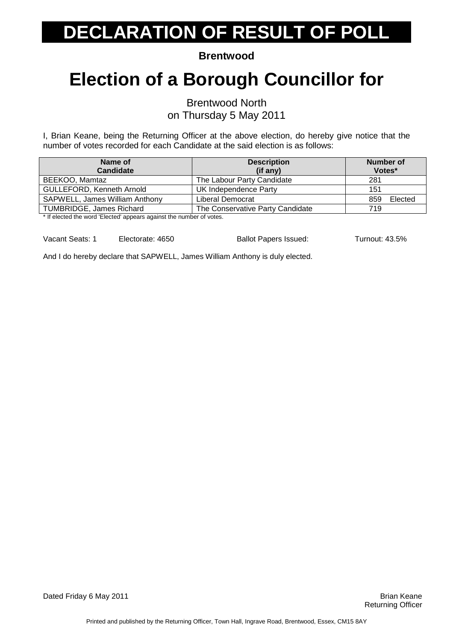**Brentwood** 

### **Election of a Borough Councillor for**

Brentwood North

on Thursday 5 May 2011

I, Brian Keane, being the Returning Officer at the above election, do hereby give notice that the number of votes recorded for each Candidate at the said election is as follows:

| Name of                                                                                 | <b>Description</b>               | Number of      |
|-----------------------------------------------------------------------------------------|----------------------------------|----------------|
| <b>Candidate</b>                                                                        | $(if$ any)                       | Votes*         |
| BEEKOO, Mamtaz                                                                          | The Labour Party Candidate       | 281            |
| <b>GULLEFORD, Kenneth Arnold</b>                                                        | UK Independence Party            | 151            |
| SAPWELL, James William Anthony                                                          | Liberal Democrat                 | Elected<br>859 |
| <b>TUMBRIDGE, James Richard</b>                                                         | The Conservative Party Candidate | 719            |
| → If of control the control IEI controll composed to active the control control for the |                                  |                |

If elected the word 'Elected' appears against the number of votes.

Vacant Seats: 1 Electorate: 4650 Ballot Papers Issued: Turnout: 43.5%

And I do hereby declare that SAPWELL, James William Anthony is duly elected.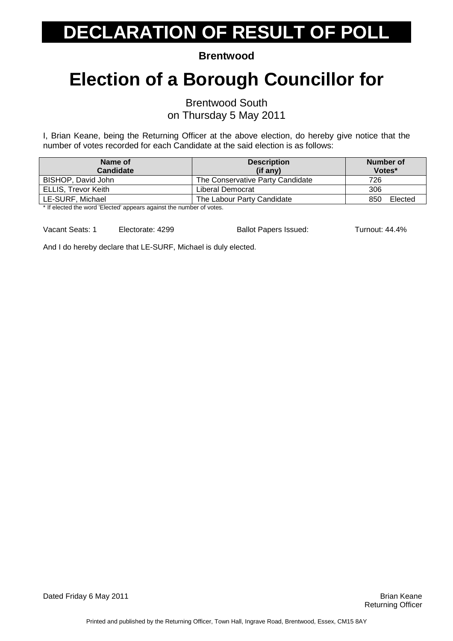**Brentwood** 

### **Election of a Borough Councillor for**

Brentwood South

on Thursday 5 May 2011

I, Brian Keane, being the Returning Officer at the above election, do hereby give notice that the number of votes recorded for each Candidate at the said election is as follows:

| Name of<br><b>Candidate</b>                                                                                           | <b>Description</b><br>(if any)   | Number of<br>Votes* |
|-----------------------------------------------------------------------------------------------------------------------|----------------------------------|---------------------|
| BISHOP, David John                                                                                                    | The Conservative Party Candidate | 726                 |
| ELLIS, Trevor Keith                                                                                                   | Liberal Democrat                 | 306                 |
| LE-SURF, Michael                                                                                                      | The Labour Party Candidate       | Elected<br>850      |
| . We fit with a real field to constant field of a state of the second constant of the constant of the state of $\sim$ |                                  |                     |

If elected the word 'Elected' appears against the number of votes.

Vacant Seats: 1 Electorate: 4299 Ballot Papers Issued: Turnout: 44.4%

And I do hereby declare that LE-SURF, Michael is duly elected.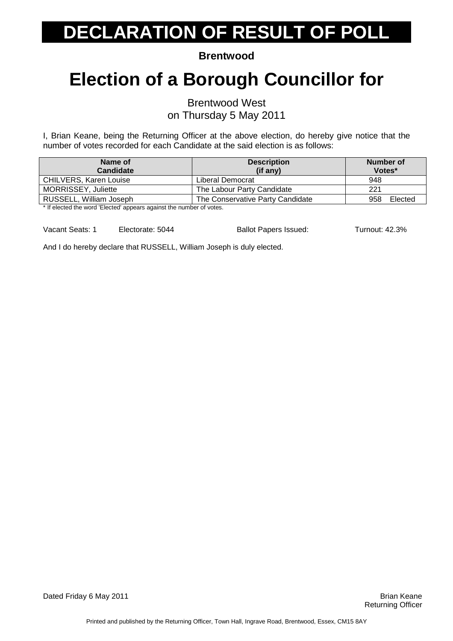**Brentwood** 

### **Election of a Borough Councillor for**

Brentwood West

on Thursday 5 May 2011

I, Brian Keane, being the Returning Officer at the above election, do hereby give notice that the number of votes recorded for each Candidate at the said election is as follows:

| Name of<br><b>Candidate</b>                                         | <b>Description</b><br>(if any)   | Number of<br>Votes* |
|---------------------------------------------------------------------|----------------------------------|---------------------|
| <b>CHILVERS, Karen Louise</b>                                       | Liberal Democrat                 | 948                 |
| <b>MORRISSEY, Juliette</b>                                          | The Labour Party Candidate       | 221                 |
| RUSSELL, William Joseph                                             | The Conservative Party Candidate | Elected<br>958      |
| * If algoted the werd 'Elected' oppears against the number of vetop |                                  |                     |

If elected the word 'Elected' appears against the number of votes.

Vacant Seats: 1 Electorate: 5044 Ballot Papers Issued: Turnout: 42.3%

And I do hereby declare that RUSSELL, William Joseph is duly elected.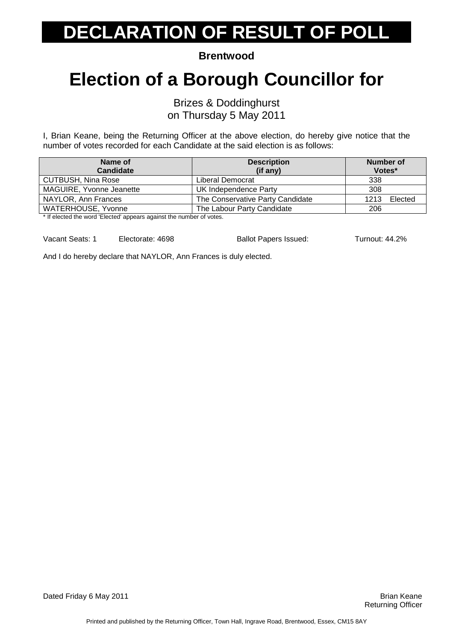**Brentwood** 

### **Election of a Borough Councillor for**

Brizes & Doddinghurst

on Thursday 5 May 2011

I, Brian Keane, being the Returning Officer at the above election, do hereby give notice that the number of votes recorded for each Candidate at the said election is as follows:

| Name of<br><b>Candidate</b>                                                                                                                                                                                                       | <b>Description</b><br>$(if$ any) | Number of<br>Votes* |
|-----------------------------------------------------------------------------------------------------------------------------------------------------------------------------------------------------------------------------------|----------------------------------|---------------------|
| <b>CUTBUSH, Nina Rose</b>                                                                                                                                                                                                         | Liberal Democrat                 | 338                 |
| MAGUIRE, Yvonne Jeanette                                                                                                                                                                                                          | UK Independence Party            | 308                 |
| NAYLOR, Ann Frances                                                                                                                                                                                                               | The Conservative Party Candidate | Elected<br>1213     |
| WATERHOUSE, Yvonne                                                                                                                                                                                                                | The Labour Party Candidate       | 206                 |
| $\frac{1}{2}$ . The contract of the contract of the contract of the contract of the contract of the contract of the contract of the contract of the contract of the contract of the contract of the contract of the contract of t |                                  |                     |

If elected the word 'Elected' appears against the number of votes.

Vacant Seats: 1 Electorate: 4698 Ballot Papers Issued: Turnout: 44.2%

And I do hereby declare that NAYLOR, Ann Frances is duly elected.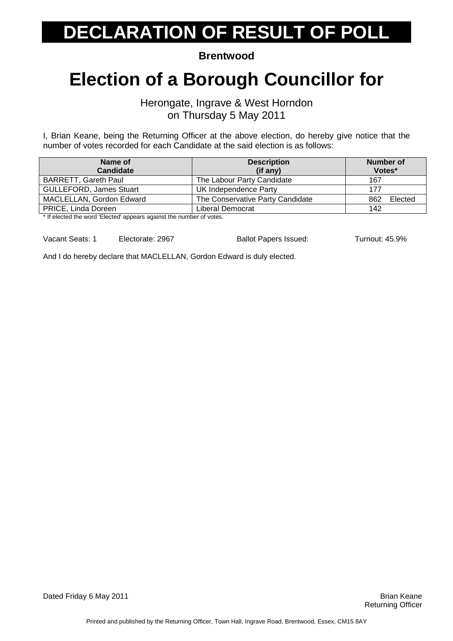**Brentwood** 

#### **Election of a Borough Councillor for**

Herongate, Ingrave & West Horndon on Thursday 5 May 2011

I, Brian Keane, being the Returning Officer at the above election, do hereby give notice that the number of votes recorded for each Candidate at the said election is as follows:

| Name of                        | <b>Description</b>               | Number of      |
|--------------------------------|----------------------------------|----------------|
| <b>Candidate</b>               | (if any)                         | Votes*         |
| <b>BARRETT, Gareth Paul</b>    | The Labour Party Candidate       | 167            |
| <b>GULLEFORD, James Stuart</b> | UK Independence Party            | 177            |
| MACLELLAN, Gordon Edward       | The Conservative Party Candidate | Elected<br>862 |
| <b>PRICE, Linda Doreen</b>     | Liberal Democrat                 | 142            |

If elected the word 'Elected' appears against the number of votes.

Vacant Seats: 1 Electorate: 2967 Ballot Papers Issued: Turnout: 45.9%

And I do hereby declare that MACLELLAN, Gordon Edward is duly elected.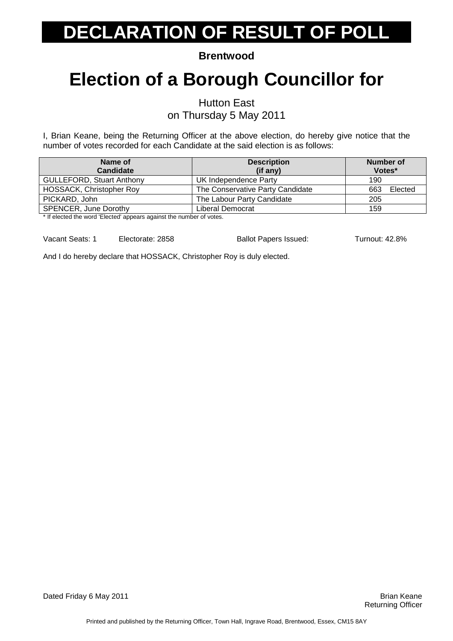**Brentwood** 

### **Election of a Borough Councillor for**

Hutton East

on Thursday 5 May 2011

I, Brian Keane, being the Returning Officer at the above election, do hereby give notice that the number of votes recorded for each Candidate at the said election is as follows:

| Name of<br><b>Candidate</b>                                                                                                                                                                                                       | <b>Description</b><br>$(if$ any) | Number of<br>Votes* |
|-----------------------------------------------------------------------------------------------------------------------------------------------------------------------------------------------------------------------------------|----------------------------------|---------------------|
| <b>GULLEFORD, Stuart Anthony</b>                                                                                                                                                                                                  | UK Independence Party            | 190                 |
| <b>HOSSACK, Christopher Roy</b>                                                                                                                                                                                                   | The Conservative Party Candidate | Elected<br>663      |
| PICKARD, John                                                                                                                                                                                                                     | The Labour Party Candidate       | 205                 |
| <b>SPENCER, June Dorothy</b>                                                                                                                                                                                                      | Liberal Democrat                 | 159                 |
| $\frac{1}{2}$ . The contract of the contract of the contract of the contract of the contract of the contract of the contract of the contract of the contract of the contract of the contract of the contract of the contract of t |                                  |                     |

If elected the word 'Elected' appears against the number of votes.

Vacant Seats: 1 Electorate: 2858 Ballot Papers Issued: Turnout: 42.8%

And I do hereby declare that HOSSACK, Christopher Roy is duly elected.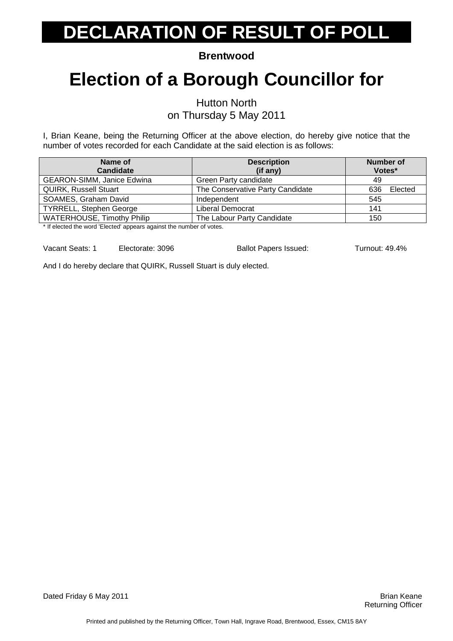**Brentwood** 

### **Election of a Borough Councillor for**

Hutton North

on Thursday 5 May 2011

I, Brian Keane, being the Returning Officer at the above election, do hereby give notice that the number of votes recorded for each Candidate at the said election is as follows:

| Name of<br><b>Candidate</b>       | <b>Description</b><br>(if any)   | <b>Number of</b><br>Votes* |
|-----------------------------------|----------------------------------|----------------------------|
| <b>GEARON-SIMM, Janice Edwina</b> | Green Party candidate            | 49                         |
| <b>QUIRK, Russell Stuart</b>      | The Conservative Party Candidate | Elected<br>636             |
| SOAMES, Graham David              | Independent                      | 545                        |
| <b>TYRRELL, Stephen George</b>    | Liberal Democrat                 | 141                        |
| <b>WATERHOUSE, Timothy Philip</b> | The Labour Party Candidate       | 150                        |

\* If elected the word 'Elected' appears against the number of votes.

Vacant Seats: 1 Electorate: 3096 Ballot Papers Issued: Turnout: 49.4%

And I do hereby declare that QUIRK, Russell Stuart is duly elected.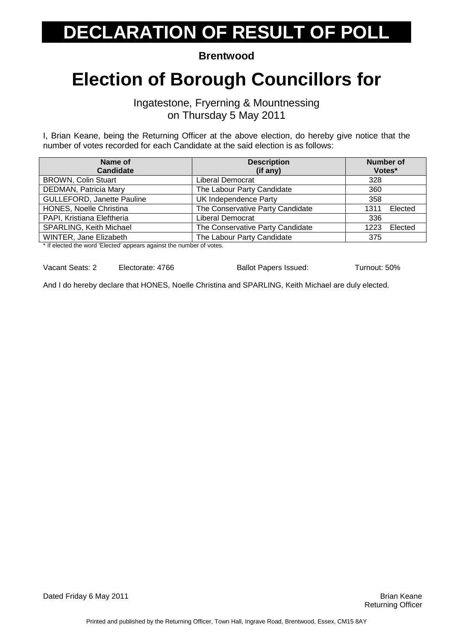**Brentwood** 

#### **Election of Borough Councillors for**

Ingatestone, Fryerning & Mountnessing on Thursday 5 May 2011

I, Brian Keane, being the Returning Officer at the above election, do hereby give notice that the number of votes recorded for each Candidate at the said election is as follows:

| Name of<br><b>Candidate</b>       | <b>Description</b><br>(if any)   | <b>Number of</b><br>Votes* |
|-----------------------------------|----------------------------------|----------------------------|
| <b>BROWN, Colin Stuart</b>        | Liberal Democrat                 | 328                        |
| DEDMAN, Patricia Mary             | The Labour Party Candidate       | 360                        |
| <b>GULLEFORD, Janette Pauline</b> | UK Independence Party            | 358                        |
| HONES, Noelle Christina           | The Conservative Party Candidate | Elected<br>1311            |
| PAPI, Kristiana Eleftheria        | Liberal Democrat                 | 336                        |
| <b>SPARLING, Keith Michael</b>    | The Conservative Party Candidate | Elected<br>1223            |
| WINTER, Jane Elizabeth            | The Labour Party Candidate       | 375                        |

\* If elected the word 'Elected' appears against the number of votes.

Vacant Seats: 2 Electorate: 4766 Ballot Papers Issued: Turnout: 50%

And I do hereby declare that HONES, Noelle Christina and SPARLING, Keith Michael are duly elected.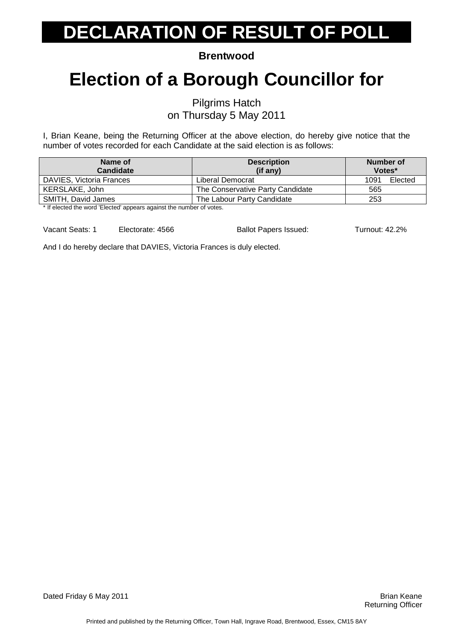**Brentwood** 

### **Election of a Borough Councillor for**

Pilgrims Hatch on Thursday 5 May 2011

I, Brian Keane, being the Returning Officer at the above election, do hereby give notice that the number of votes recorded for each Candidate at the said election is as follows:

| Name of<br><b>Candidate</b>                                                                     | <b>Description</b><br>(if any)   | Number of<br>Votes* |         |
|-------------------------------------------------------------------------------------------------|----------------------------------|---------------------|---------|
| DAVIES, Victoria Frances                                                                        | Liberal Democrat                 | 1091                | Elected |
| KERSLAKE, John                                                                                  | The Conservative Party Candidate | 565                 |         |
| SMITH, David James                                                                              | The Labour Party Candidate       | 253                 |         |
| المتعقب والمستحيم والمستحدث والمستحدث والمستحدث والمستحدث والمستحدث والمستحدث والمنافي والمنافي |                                  |                     |         |

If elected the word 'Elected' appears against the number of votes.

Vacant Seats: 1 Electorate: 4566 Ballot Papers Issued: Turnout: 42.2%

And I do hereby declare that DAVIES, Victoria Frances is duly elected.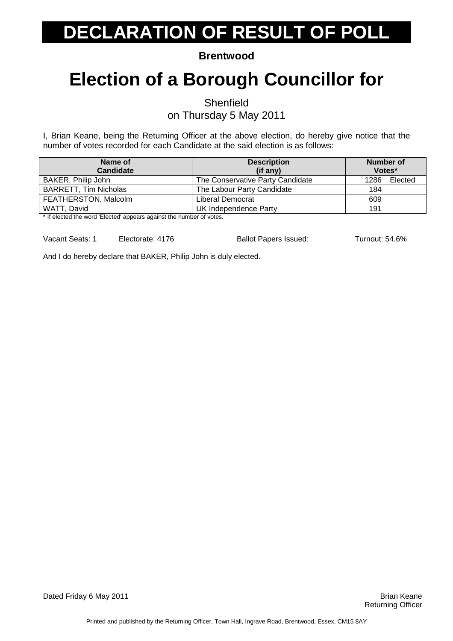**Brentwood** 

### **Election of a Borough Councillor for**

**Shenfield** 

on Thursday 5 May 2011

I, Brian Keane, being the Returning Officer at the above election, do hereby give notice that the number of votes recorded for each Candidate at the said election is as follows:

| Name of                      | <b>Description</b>               | Number of    |
|------------------------------|----------------------------------|--------------|
| Candidate                    | (if any)                         | Votes*       |
| BAKER, Philip John           | The Conservative Party Candidate | 1286 Elected |
| <b>BARRETT, Tim Nicholas</b> | The Labour Party Candidate       | 184          |
| FEATHERSTON, Malcolm         | Liberal Democrat                 | 609          |
| WATT, David                  | UK Independence Party            | 191          |

If elected the word 'Elected' appears against the number of votes.

Vacant Seats: 1 Electorate: 4176 Ballot Papers Issued: Turnout: 54.6%

And I do hereby declare that BAKER, Philip John is duly elected.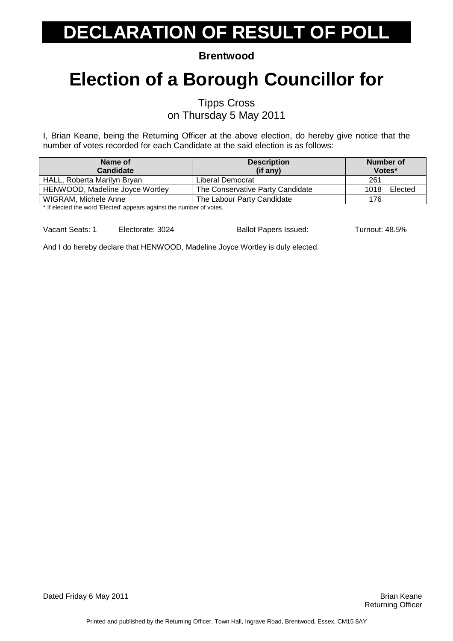**Brentwood** 

### **Election of a Borough Councillor for**

Tipps Cross

on Thursday 5 May 2011

I, Brian Keane, being the Returning Officer at the above election, do hereby give notice that the number of votes recorded for each Candidate at the said election is as follows:

| Name of<br><b>Candidate</b>                                         | <b>Description</b><br>(if any)   | Number of<br>Votes* |
|---------------------------------------------------------------------|----------------------------------|---------------------|
| HALL, Roberta Marilyn Bryan                                         | Liberal Democrat                 | 261                 |
| HENWOOD, Madeline Joyce Wortley                                     | The Conservative Party Candidate | Elected<br>1018     |
| WIGRAM, Michele Anne                                                | The Labour Party Candidate       | 176                 |
| t If alaatad the ward 'Elected' oppears against the pumber of vates |                                  |                     |

If elected the word 'Elected' appears against the number of votes.

Vacant Seats: 1 Electorate: 3024 Ballot Papers Issued: Turnout: 48.5%

And I do hereby declare that HENWOOD, Madeline Joyce Wortley is duly elected.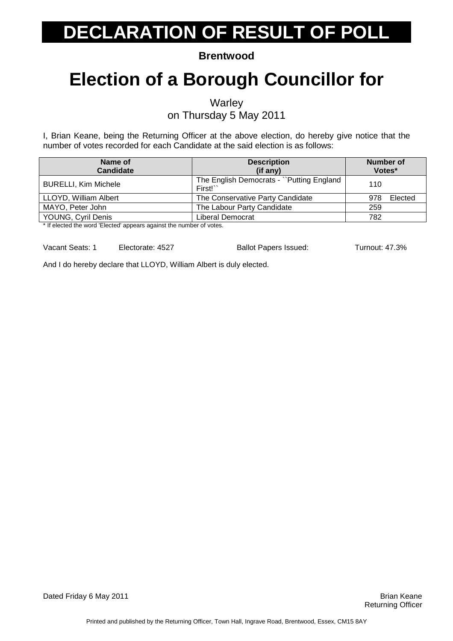**Brentwood** 

### **Election of a Borough Councillor for**

**Warley** 

on Thursday 5 May 2011

I, Brian Keane, being the Returning Officer at the above election, do hereby give notice that the number of votes recorded for each Candidate at the said election is as follows:

| Name of<br><b>Candidate</b>                           | <b>Description</b><br>$(if$ any)                      | Number of<br>Votes* |
|-------------------------------------------------------|-------------------------------------------------------|---------------------|
| <b>BURELLI, Kim Michele</b>                           | The English Democrats - "Putting England"<br>First!`` | 110                 |
| LLOYD, William Albert                                 | The Conservative Party Candidate                      | Elected<br>978      |
| MAYO, Peter John                                      | The Labour Party Candidate                            | 259                 |
| YOUNG, Cyril Denis<br>$\cdot$ $\cdot$ $\cdot$ $\cdot$ | Liberal Democrat                                      | 782                 |

\* If elected the word 'Elected' appears against the number of votes.

Vacant Seats: 1 Electorate: 4527 Ballot Papers Issued: Turnout: 47.3%

And I do hereby declare that LLOYD, William Albert is duly elected.